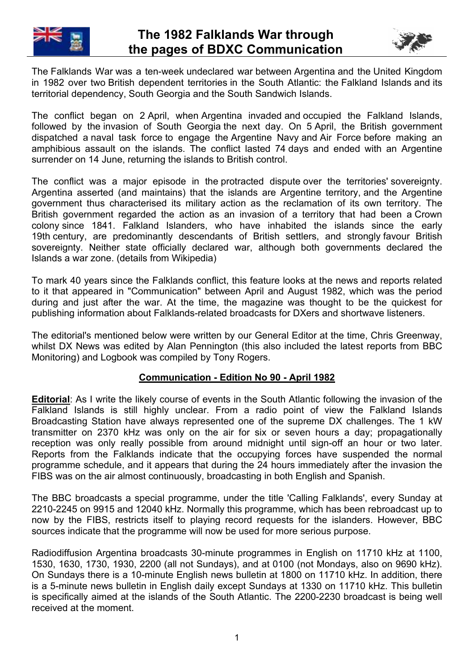



The Falklands War was a ten-week undeclared war between Argentina and the United Kingdom in 1982 over two British dependent territories in the South Atlantic: the Falkland Islands and its territorial dependency, South Georgia and the South Sandwich Islands.

The conflict began on 2 April, when Argentina invaded and occupied the Falkland Islands, followed by the invasion of South Georgia the next day. On 5 April, the British government dispatched a naval task force to engage the Argentine Navy and Air Force before making an amphibious assault on the islands. The conflict lasted 74 days and ended with an Argentine surrender on 14 June, returning the islands to British control.

The conflict was a major episode in the protracted dispute over the territories' sovereignty. Argentina asserted (and maintains) that the islands are Argentine territory, and the Argentine government thus characterised its military action as the reclamation of its own territory. The British government regarded the action as an invasion of a territory that had been a Crown colony since 1841. Falkland Islanders, who have inhabited the islands since the early 19th century, are predominantly descendants of British settlers, and strongly favour British sovereignty. Neither state officially declared war, although both governments declared the Islands a war zone. (details from Wikipedia)

To mark 40 years since the Falklands conflict, this feature looks at the news and reports related to it that appeared in "Communication" between April and August 1982, which was the period during and just after the war. At the time, the magazine was thought to be the quickest for publishing information about Falklands-related broadcasts for DXers and shortwave listeners.

The editorial's mentioned below were written by our General Editor at the time, Chris Greenway, whilst DX News was edited by Alan Pennington (this also included the latest reports from BBC Monitoring) and Logbook was compiled by Tony Rogers.

## **Communication - Edition No 90 - April 1982**

**Editorial**: As I write the likely course of events in the South Atlantic following the invasion of the Falkland Islands is still highly unclear. From a radio point of view the Falkland Islands Broadcasting Station have always represented one of the supreme DX challenges. The 1 kW transmitter on 2370 kHz was only on the air for six or seven hours a day; propagationally reception was only really possible from around midnight until sign-off an hour or two later. Reports from the Falklands indicate that the occupying forces have suspended the normal programme schedule, and it appears that during the 24 hours immediately after the invasion the FIBS was on the air almost continuously, broadcasting in both English and Spanish.

The BBC broadcasts a special programme, under the title 'Calling Falklands', every Sunday at 2210-2245 on 9915 and 12040 kHz. Normally this programme, which has been rebroadcast up to now by the FIBS, restricts itself to playing record requests for the islanders. However, BBC sources indicate that the programme will now be used for more serious purpose.

Radiodiffusion Argentina broadcasts 30-minute programmes in English on 11710 kHz at 1100, 1530, 1630, 1730, 1930, 2200 (all not Sundays), and at 0100 (not Mondays, also on 9690 kHz). On Sundays there is a 10-minute English news bulletin at 1800 on 11710 kHz. In addition, there is a 5-minute news bulletin in English daily except Sundays at 1330 on 11710 kHz. This bulletin is specifically aimed at the islands of the South Atlantic. The 2200-2230 broadcast is being well received at the moment.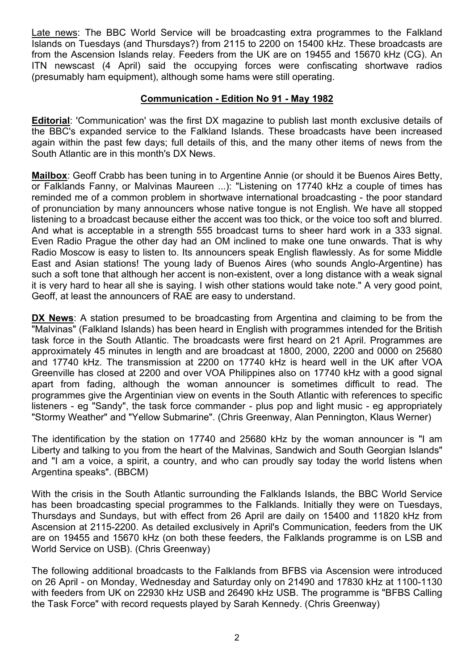Late news: The BBC World Service will be broadcasting extra programmes to the Falkland Islands on Tuesdays (and Thursdays?) from 2115 to 2200 on 15400 kHz. These broadcasts are from the Ascension Islands relay. Feeders from the UK are on 19455 and 15670 kHz (CG). An ITN newscast (4 April) said the occupying forces were confiscating shortwave radios (presumably ham equipment), although some hams were still operating.

#### **Communication - Edition No 91 - May 1982**

**Editorial**: 'Communication' was the first DX magazine to publish last month exclusive details of the BBC's expanded service to the Falkland Islands. These broadcasts have been increased again within the past few days; full details of this, and the many other items of news from the South Atlantic are in this month's DX News.

**Mailbox**: Geoff Crabb has been tuning in to Argentine Annie (or should it be Buenos Aires Betty, or Falklands Fanny, or Malvinas Maureen ...): "Listening on 17740 kHz a couple of times has reminded me of a common problem in shortwave international broadcasting - the poor standard of pronunciation by many announcers whose native tongue is not English. We have all stopped listening to a broadcast because either the accent was too thick, or the voice too soft and blurred. And what is acceptable in a strength 555 broadcast turns to sheer hard work in a 333 signal. Even Radio Prague the other day had an OM inclined to make one tune onwards. That is why Radio Moscow is easy to listen to. Its announcers speak English flawlessly. As for some Middle East and Asian stations! The young lady of Buenos Aires (who sounds Anglo-Argentine) has such a soft tone that although her accent is non-existent, over a long distance with a weak signal it is very hard to hear all she is saying. I wish other stations would take note." A very good point, Geoff, at least the announcers of RAE are easy to understand.

**DX News**: A station presumed to be broadcasting from Argentina and claiming to be from the "Malvinas" (Falkland Islands) has been heard in English with programmes intended for the British task force in the South Atlantic. The broadcasts were first heard on 21 April. Programmes are approximately 45 minutes in length and are broadcast at 1800, 2000, 2200 and 0000 on 25680 and 17740 kHz. The transmission at 2200 on 17740 kHz is heard well in the UK after VOA Greenville has closed at 2200 and over VOA Philippines also on 17740 kHz with a good signal apart from fading, although the woman announcer is sometimes difficult to read. The programmes give the Argentinian view on events in the South Atlantic with references to specific listeners - eg "Sandy", the task force commander - plus pop and light music - eg appropriately "Stormy Weather" and "Yellow Submarine". (Chris Greenway, Alan Pennington, Klaus Werner)

The identification by the station on 17740 and 25680 kHz by the woman announcer is "I am Liberty and talking to you from the heart of the Malvinas, Sandwich and South Georgian Islands" and "I am a voice, a spirit, a country, and who can proudly say today the world listens when Argentina speaks". (BBCM)

With the crisis in the South Atlantic surrounding the Falklands Islands, the BBC World Service has been broadcasting special programmes to the Falklands. Initially they were on Tuesdays, Thursdays and Sundays, but with effect from 26 April are daily on 15400 and 11820 kHz from Ascension at 2115-2200. As detailed exclusively in April's Communication, feeders from the UK are on 19455 and 15670 kHz (on both these feeders, the Falklands programme is on LSB and World Service on USB). (Chris Greenway)

The following additional broadcasts to the Falklands from BFBS via Ascension were introduced on 26 April - on Monday, Wednesday and Saturday only on 21490 and 17830 kHz at 1100-1130 with feeders from UK on 22930 kHz USB and 26490 kHz USB. The programme is "BFBS Calling the Task Force" with record requests played by Sarah Kennedy. (Chris Greenway)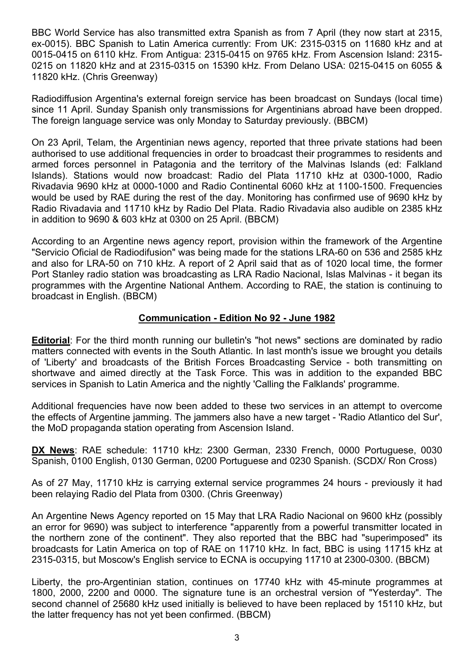BBC World Service has also transmitted extra Spanish as from 7 April (they now start at 2315, ex-0015). BBC Spanish to Latin America currently: From UK: 2315-0315 on 11680 kHz and at 0015-0415 on 6110 kHz. From Antigua: 2315-0415 on 9765 kHz. From Ascension Island: 2315- 0215 on 11820 kHz and at 2315-0315 on 15390 kHz. From Delano USA: 0215-0415 on 6055 & 11820 kHz. (Chris Greenway)

Radiodiffusion Argentina's external foreign service has been broadcast on Sundays (local time) since 11 April. Sunday Spanish only transmissions for Argentinians abroad have been dropped. The foreign language service was only Monday to Saturday previously. (BBCM)

On 23 April, Telam, the Argentinian news agency, reported that three private stations had been authorised to use additional frequencies in order to broadcast their programmes to residents and armed forces personnel in Patagonia and the territory of the Malvinas Islands (ed: Falkland Islands). Stations would now broadcast: Radio del Plata 11710 kHz at 0300-1000, Radio Rivadavia 9690 kHz at 0000-1000 and Radio Continental 6060 kHz at 1100-1500. Frequencies would be used by RAE during the rest of the day. Monitoring has confirmed use of 9690 kHz by Radio Rivadavia and 11710 kHz by Radio Del Plata. Radio Rivadavia also audible on 2385 kHz in addition to 9690 & 603 kHz at 0300 on 25 April. (BBCM)

According to an Argentine news agency report, provision within the framework of the Argentine "Servicio Oficial de Radiodifusion" was being made for the stations LRA-60 on 536 and 2585 kHz and also for LRA-50 on 710 kHz. A report of 2 April said that as of 1020 local time, the former Port Stanley radio station was broadcasting as LRA Radio Nacional, Islas Malvinas - it began its programmes with the Argentine National Anthem. According to RAE, the station is continuing to broadcast in English. (BBCM)

#### **Communication - Edition No 92 - June 1982**

**Editorial**: For the third month running our bulletin's "hot news" sections are dominated by radio matters connected with events in the South Atlantic. In last month's issue we brought you details of 'Liberty' and broadcasts of the British Forces Broadcasting Service - both transmitting on shortwave and aimed directly at the Task Force. This was in addition to the expanded BBC services in Spanish to Latin America and the nightly 'Calling the Falklands' programme.

Additional frequencies have now been added to these two services in an attempt to overcome the effects of Argentine jamming. The jammers also have a new target - 'Radio Atlantico del Sur', the MoD propaganda station operating from Ascension Island.

**DX News**: RAE schedule: 11710 kHz: 2300 German, 2330 French, 0000 Portuguese, 0030 Spanish, 0100 English, 0130 German, 0200 Portuguese and 0230 Spanish. (SCDX/ Ron Cross)

As of 27 May, 11710 kHz is carrying external service programmes 24 hours - previously it had been relaying Radio del Plata from 0300. (Chris Greenway)

An Argentine News Agency reported on 15 May that LRA Radio Nacional on 9600 kHz (possibly an error for 9690) was subject to interference "apparently from a powerful transmitter located in the northern zone of the continent". They also reported that the BBC had "superimposed" its broadcasts for Latin America on top of RAE on 11710 kHz. In fact, BBC is using 11715 kHz at 2315-0315, but Moscow's English service to ECNA is occupying 11710 at 2300-0300. (BBCM)

Liberty, the pro-Argentinian station, continues on 17740 kHz with 45-minute programmes at 1800, 2000, 2200 and 0000. The signature tune is an orchestral version of "Yesterday". The second channel of 25680 kHz used initially is believed to have been replaced by 15110 kHz, but the latter frequency has not yet been confirmed. (BBCM)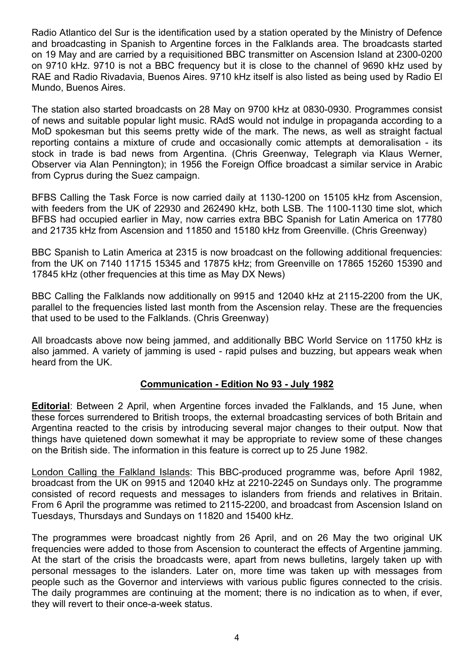Radio Atlantico del Sur is the identification used by a station operated by the Ministry of Defence and broadcasting in Spanish to Argentine forces in the Falklands area. The broadcasts started on 19 May and are carried by a requisitioned BBC transmitter on Ascension Island at 2300-0200 on 9710 kHz. 9710 is not a BBC frequency but it is close to the channel of 9690 kHz used by RAE and Radio Rivadavia, Buenos Aires. 9710 kHz itself is also listed as being used by Radio El Mundo, Buenos Aires.

The station also started broadcasts on 28 May on 9700 kHz at 0830-0930. Programmes consist of news and suitable popular light music. RAdS would not indulge in propaganda according to a MoD spokesman but this seems pretty wide of the mark. The news, as well as straight factual reporting contains a mixture of crude and occasionally comic attempts at demoralisation - its stock in trade is bad news from Argentina. (Chris Greenway, Telegraph via Klaus Werner, Observer via Alan Pennington); in 1956 the Foreign Office broadcast a similar service in Arabic from Cyprus during the Suez campaign.

BFBS Calling the Task Force is now carried daily at 1130-1200 on 15105 kHz from Ascension, with feeders from the UK of 22930 and 262490 kHz, both LSB. The 1100-1130 time slot, which BFBS had occupied earlier in May, now carries extra BBC Spanish for Latin America on 17780 and 21735 kHz from Ascension and 11850 and 15180 kHz from Greenville. (Chris Greenway)

BBC Spanish to Latin America at 2315 is now broadcast on the following additional frequencies: from the UK on 7140 11715 15345 and 17875 kHz; from Greenville on 17865 15260 15390 and 17845 kHz (other frequencies at this time as May DX News)

BBC Calling the Falklands now additionally on 9915 and 12040 kHz at 2115-2200 from the UK, parallel to the frequencies listed last month from the Ascension relay. These are the frequencies that used to be used to the Falklands. (Chris Greenway)

All broadcasts above now being jammed, and additionally BBC World Service on 11750 kHz is also jammed. A variety of jamming is used - rapid pulses and buzzing, but appears weak when heard from the UK.

## **Communication - Edition No 93 - July 1982**

**Editorial**: Between 2 April, when Argentine forces invaded the Falklands, and 15 June, when these forces surrendered to British troops, the external broadcasting services of both Britain and Argentina reacted to the crisis by introducing several major changes to their output. Now that things have quietened down somewhat it may be appropriate to review some of these changes on the British side. The information in this feature is correct up to 25 June 1982.

London Calling the Falkland Islands: This BBC-produced programme was, before April 1982, broadcast from the UK on 9915 and 12040 kHz at 2210-2245 on Sundays only. The programme consisted of record requests and messages to islanders from friends and relatives in Britain. From 6 April the programme was retimed to 2115-2200, and broadcast from Ascension Island on Tuesdays, Thursdays and Sundays on 11820 and 15400 kHz.

The programmes were broadcast nightly from 26 April, and on 26 May the two original UK frequencies were added to those from Ascension to counteract the effects of Argentine jamming. At the start of the crisis the broadcasts were, apart from news bulletins, largely taken up with personal messages to the islanders. Later on, more time was taken up with messages from people such as the Governor and interviews with various public figures connected to the crisis. The daily programmes are continuing at the moment; there is no indication as to when, if ever, they will revert to their once-a-week status.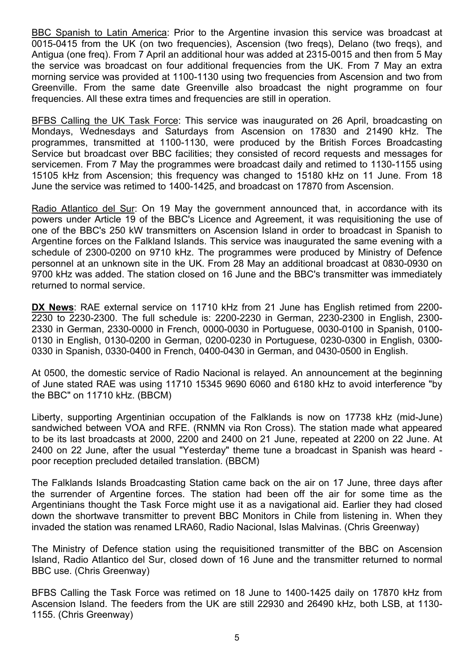BBC Spanish to Latin America: Prior to the Argentine invasion this service was broadcast at 0015-0415 from the UK (on two frequencies), Ascension (two freqs), Delano (two freqs), and Antigua (one freq). From 7 April an additional hour was added at 2315-0015 and then from 5 May the service was broadcast on four additional frequencies from the UK. From 7 May an extra morning service was provided at 1100-1130 using two frequencies from Ascension and two from Greenville. From the same date Greenville also broadcast the night programme on four frequencies. All these extra times and frequencies are still in operation.

BFBS Calling the UK Task Force: This service was inaugurated on 26 April, broadcasting on Mondays, Wednesdays and Saturdays from Ascension on 17830 and 21490 kHz. The programmes, transmitted at 1100-1130, were produced by the British Forces Broadcasting Service but broadcast over BBC facilities; they consisted of record requests and messages for servicemen. From 7 May the programmes were broadcast daily and retimed to 1130-1155 using 15105 kHz from Ascension; this frequency was changed to 15180 kHz on 11 June. From 18 June the service was retimed to 1400-1425, and broadcast on 17870 from Ascension.

Radio Atlantico del Sur: On 19 May the government announced that, in accordance with its powers under Article 19 of the BBC's Licence and Agreement, it was requisitioning the use of one of the BBC's 250 kW transmitters on Ascension Island in order to broadcast in Spanish to Argentine forces on the Falkland Islands. This service was inaugurated the same evening with a schedule of 2300-0200 on 9710 kHz. The programmes were produced by Ministry of Defence personnel at an unknown site in the UK. From 28 May an additional broadcast at 0830-0930 on 9700 kHz was added. The station closed on 16 June and the BBC's transmitter was immediately returned to normal service.

**DX News**: RAE external service on 11710 kHz from 21 June has English retimed from 2200- 2230 to 2230-2300. The full schedule is: 2200-2230 in German, 2230-2300 in English, 2300- 2330 in German, 2330-0000 in French, 0000-0030 in Portuguese, 0030-0100 in Spanish, 0100- 0130 in English, 0130-0200 in German, 0200-0230 in Portuguese, 0230-0300 in English, 0300- 0330 in Spanish, 0330-0400 in French, 0400-0430 in German, and 0430-0500 in English.

At 0500, the domestic service of Radio Nacional is relayed. An announcement at the beginning of June stated RAE was using 11710 15345 9690 6060 and 6180 kHz to avoid interference "by the BBC" on 11710 kHz. (BBCM)

Liberty, supporting Argentinian occupation of the Falklands is now on 17738 kHz (mid-June) sandwiched between VOA and RFE. (RNMN via Ron Cross). The station made what appeared to be its last broadcasts at 2000, 2200 and 2400 on 21 June, repeated at 2200 on 22 June. At 2400 on 22 June, after the usual "Yesterday" theme tune a broadcast in Spanish was heard poor reception precluded detailed translation. (BBCM)

The Falklands Islands Broadcasting Station came back on the air on 17 June, three days after the surrender of Argentine forces. The station had been off the air for some time as the Argentinians thought the Task Force might use it as a navigational aid. Earlier they had closed down the shortwave transmitter to prevent BBC Monitors in Chile from listening in. When they invaded the station was renamed LRA60, Radio Nacional, Islas Malvinas. (Chris Greenway)

The Ministry of Defence station using the requisitioned transmitter of the BBC on Ascension Island, Radio Atlantico del Sur, closed down of 16 June and the transmitter returned to normal BBC use. (Chris Greenway)

BFBS Calling the Task Force was retimed on 18 June to 1400-1425 daily on 17870 kHz from Ascension Island. The feeders from the UK are still 22930 and 26490 kHz, both LSB, at 1130- 1155. (Chris Greenway)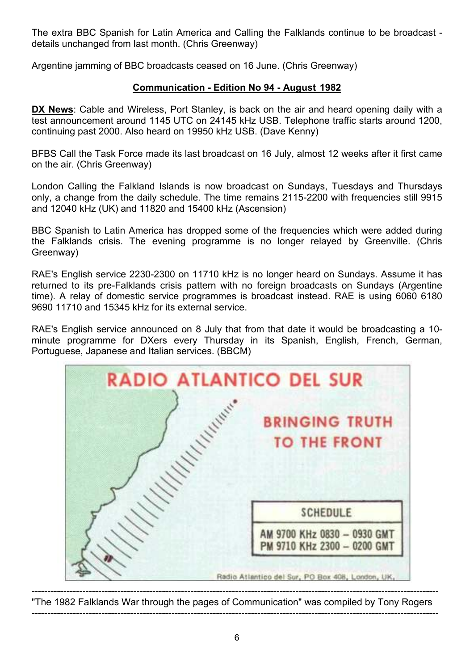The extra BBC Spanish for Latin America and Calling the Falklands continue to be broadcast details unchanged from last month. (Chris Greenway)

Argentine jamming of BBC broadcasts ceased on 16 June. (Chris Greenway)

# **Communication - Edition No 94 - August 1982**

**DX News**: Cable and Wireless, Port Stanley, is back on the air and heard opening daily with a test announcement around 1145 UTC on 24145 kHz USB. Telephone traffic starts around 1200, continuing past 2000. Also heard on 19950 kHz USB. (Dave Kenny)

BFBS Call the Task Force made its last broadcast on 16 July, almost 12 weeks after it first came on the air. (Chris Greenway)

London Calling the Falkland Islands is now broadcast on Sundays, Tuesdays and Thursdays only, a change from the daily schedule. The time remains 2115-2200 with frequencies still 9915 and 12040 kHz (UK) and 11820 and 15400 kHz (Ascension)

BBC Spanish to Latin America has dropped some of the frequencies which were added during the Falklands crisis. The evening programme is no longer relayed by Greenville. (Chris Greenway)

RAE's English service 2230-2300 on 11710 kHz is no longer heard on Sundays. Assume it has returned to its pre-Falklands crisis pattern with no foreign broadcasts on Sundays (Argentine time). A relay of domestic service programmes is broadcast instead. RAE is using 6060 6180 9690 11710 and 15345 kHz for its external service.

RAE's English service announced on 8 July that from that date it would be broadcasting a 10 minute programme for DXers every Thursday in its Spanish, English, French, German, Portuguese, Japanese and Italian services. (BBCM)

| <b>RADIO ATLANTICO DEL SUR</b> |                                                            |
|--------------------------------|------------------------------------------------------------|
| Williams                       | <b>BRINGING TRUTH</b><br><b>TO THE FRONT</b>               |
|                                | <b>SCHEDULE</b>                                            |
|                                | AM 9700 KHz 0830 - 0930 GMT<br>PM 9710 KHz 2300 - 0200 GMT |
|                                | Radio Atlantico del Sur, PO Box 408, London, UK,           |

-------------------------------------------------------------------------------------------------------------------------------- "The 1982 Falklands War through the pages of Communication" was compiled by Tony Rogers --------------------------------------------------------------------------------------------------------------------------------